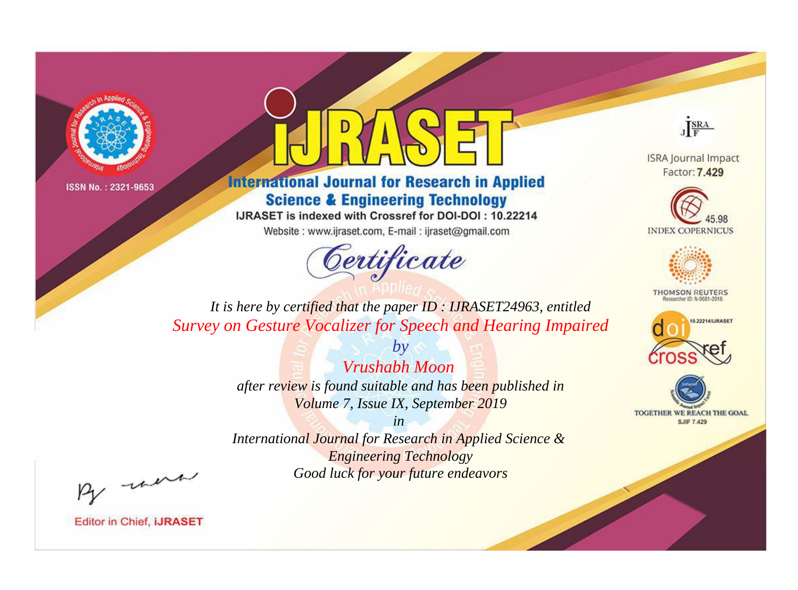



**International Journal for Research in Applied Science & Engineering Technology** 

IJRASET is indexed with Crossref for DOI-DOI: 10.22214

Website: www.ijraset.com, E-mail: ijraset@gmail.com



JERA

**ISRA Journal Impact** Factor: 7.429





**THOMSON REUTERS** 



TOGETHER WE REACH THE GOAL **SJIF 7.429** 

It is here by certified that the paper ID : IJRASET24963, entitled **Survey on Gesture Vocalizer for Speech and Hearing Impaired** 

> Vrushabh Moon after review is found suitable and has been published in Volume 7, Issue IX, September 2019

 $b\nu$ 

 $in$ International Journal for Research in Applied Science & **Engineering Technology** Good luck for your future endeavors

By morn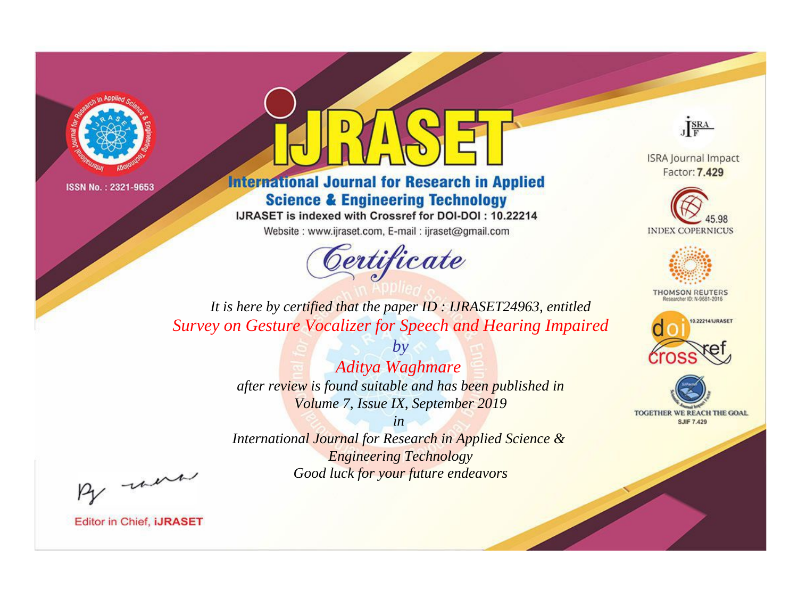



**International Journal for Research in Applied Science & Engineering Technology** 

IJRASET is indexed with Crossref for DOI-DOI: 10.22214

Website: www.ijraset.com, E-mail: ijraset@gmail.com



JERA

**ISRA Journal Impact** Factor: 7.429





**THOMSON REUTERS** 



TOGETHER WE REACH THE GOAL **SJIF 7.429** 

It is here by certified that the paper ID: IJRASET24963, entitled **Survey on Gesture Vocalizer for Speech and Hearing Impaired** 

> $b\nu$ Aditya Waghmare after review is found suitable and has been published in Volume 7, Issue IX, September 2019

 $in$ International Journal for Research in Applied Science & **Engineering Technology** Good luck for your future endeavors

By morn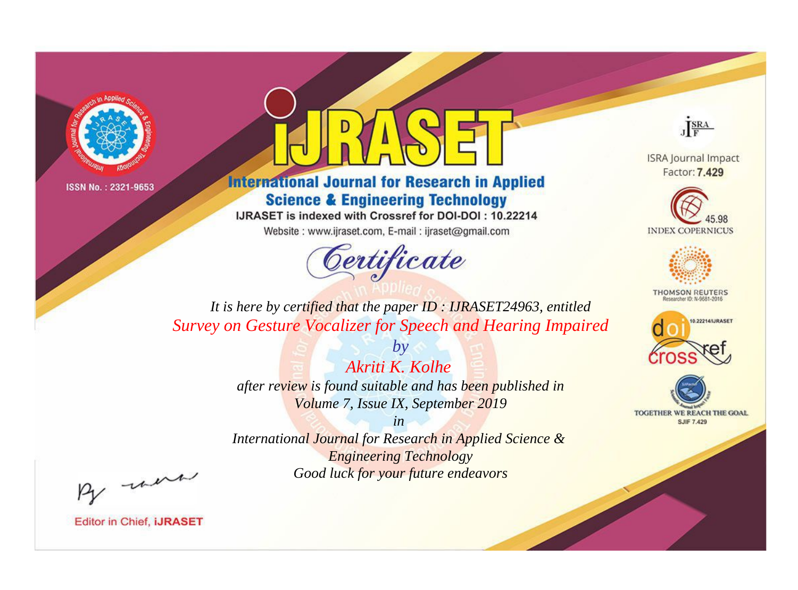



**International Journal for Research in Applied Science & Engineering Technology** 

IJRASET is indexed with Crossref for DOI-DOI: 10.22214

Website: www.ijraset.com, E-mail: ijraset@gmail.com



JERA

**ISRA Journal Impact** Factor: 7.429





**THOMSON REUTERS** 



TOGETHER WE REACH THE GOAL **SJIF 7.429** 

It is here by certified that the paper ID: IJRASET24963, entitled **Survey on Gesture Vocalizer for Speech and Hearing Impaired** 

> Akriti K. Kolhe after review is found suitable and has been published in Volume 7, Issue IX, September 2019

 $h\nu$ 

 $in$ International Journal for Research in Applied Science & **Engineering Technology** Good luck for your future endeavors

By morn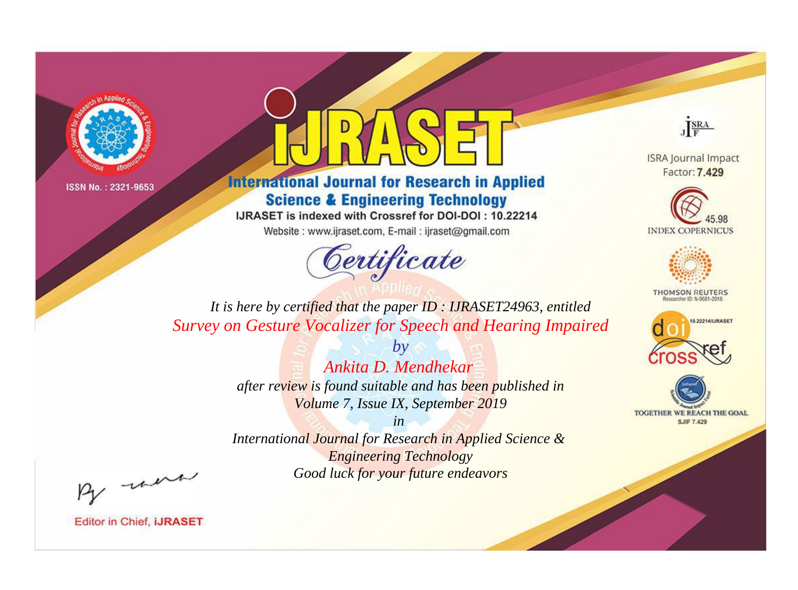



**International Journal for Research in Applied Science & Engineering Technology** 

IJRASET is indexed with Crossref for DOI-DOI: 10.22214

Website: www.ijraset.com, E-mail: ijraset@gmail.com



JERA

**ISRA Journal Impact** Factor: 7.429





**THOMSON REUTERS** 



TOGETHER WE REACH THE GOAL **SJIF 7.429** 

It is here by certified that the paper ID: IJRASET24963, entitled **Survey on Gesture Vocalizer for Speech and Hearing Impaired** 

> $h\nu$ Ankita D. Mendhekar after review is found suitable and has been published in Volume 7, Issue IX, September 2019

> $in$ International Journal for Research in Applied Science & **Engineering Technology** Good luck for your future endeavors

By morn